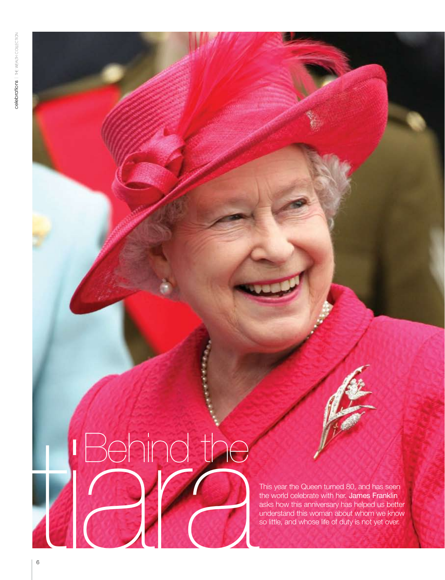# $\frac{1}{\sqrt{2}}$  and the time  $\frac{1}{\sqrt{2}}$   $\frac{1}{\sqrt{2}}$  This year the Queen turned 80, and has seen

the world celebrate with her. James Franklin asks how this anniversary has helped us better understand this woman about whom we know so little, and whose life of duty is not yet over.